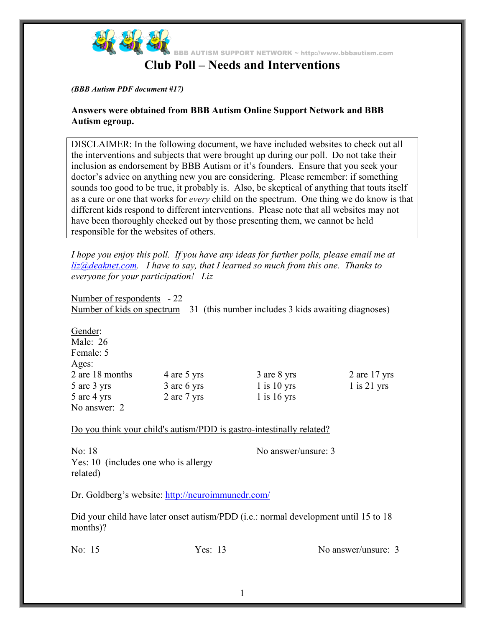

## **Club Poll – Needs and Interventions**

### *(BBB Autism PDF document #17)*

## **Answers were obtained from BBB Autism Online Support Network and BBB Autism egroup.**

DISCLAIMER: In the following document, we have included websites to check out all the interventions and subjects that were brought up during our poll. Do not take their inclusion as endorsement by BBB Autism or it's founders. Ensure that you seek your doctor's advice on anything new you are considering. Please remember: if something sounds too good to be true, it probably is. Also, be skeptical of anything that touts itself as a cure or one that works for *every* child on the spectrum. One thing we do know is that different kids respond to different interventions. Please note that all websites may not have been thoroughly checked out by those presenting them, we cannot be held responsible for the websites of others.

*I hope you enjoy this poll. If you have any ideas for further polls, please email me at liz@deaknet.com. I have to say, that I learned so much from this one. Thanks to everyone for your participation! Liz* 

Number of respondents - 22 Number of kids on spectrum  $-31$  (this number includes 3 kids awaiting diagnoses)

| Gender:         |   |
|-----------------|---|
| Male: $26$      |   |
| Female: 5       |   |
| Ages:           |   |
| 2 are 18 months |   |
| 5 are 3 yrs     | 3 |
| 5 are 4 yrs     | 2 |
| No answer: 2    |   |

3 are 8 yrs  $1$  is  $10$  yrs 1 is 16 yrs

No answer/unsure: 3

2 are 17 yrs 1 is 21 yrs

Do you think your child's autism/PDD is gastro-intestinally related?

are 5 yrs are 6 yrs are 7 yrs

No: 18 Yes: 10 (includes one who is allergy related)

Dr. Goldberg's website: http://neuroimmunedr.com/

Did your child have later onset autism/PDD (i.e.: normal development until 15 to 18 months)?

No: 15 Yes: 13 No answer/unsure: 3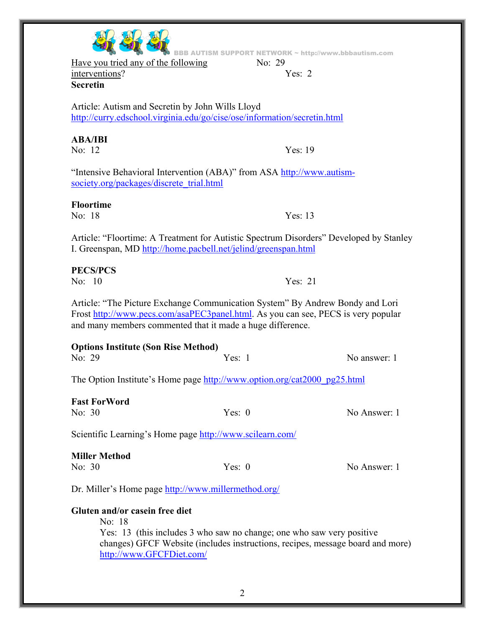Yes: 13 (this includes 3 who saw no change; one who saw very positive

changes) GFCF Website (includes instructions, recipes, message board and more)

No: 18 Yes: 13 I. Greenspan, MD http://home.pacbell.net/jelind/greenspan.html No: 10 Yes: 21 **Options Institute (Son Rise Method)**  No: 29 Yes: 1 No answer: 1 The Option Institute's Home page http://www.option.org/cat2000\_pg25.html **Fast ForWord**  No: 30 Yes: 0 No Answer: 1 Scientific Learning's Home page http://www.scilearn.com/ **Miller Method**  No: 30 Yes: 0 No Answer: 1 Dr. Miller's Home page http://www.millermethod.org/

# **Floortime**

Article: "Floortime: A Treatment for Autistic Spectrum Disorders" Developed by Stanley

## **PECS/PCS**

**Gluten and/or casein free diet** 

http://www.GFCFDiet.com/

No: 18

Article: "The Picture Exchange Communication System" By Andrew Bondy and Lori Frost http://www.pecs.com/asaPEC3panel.html. As you can see, PECS is very popular and many members commented that it made a huge difference.

## Article: Autism and Secretin by John Wills Lloyd http://curry.edschool.virginia.edu/go/cise/ose/information/secretin.html

## **ABA/IBI**

interventions? **Secretin** 

No: 12 Yes: 19

"Intensive Behavioral Intervention (ABA)" from ASA http://www.autismsociety.org/packages/discrete\_trial.html

BB AUTISM SUPPORT NETWORK ~ http://www.bbbautism.com Have you tried any of the following No: 29

Yes:  $2$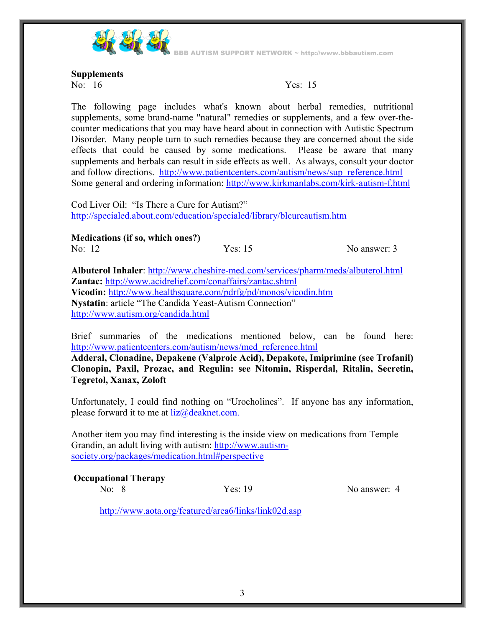

BBB AUTISM SUPPORT NETWORK ~ http://www.bbbautism.com

#### **Supplements**

No: 16 Yes: 15

The following page includes what's known about herbal remedies, nutritional supplements, some brand-name "natural" remedies or supplements, and a few over-thecounter medications that you may have heard about in connection with Autistic Spectrum Disorder. Many people turn to such remedies because they are concerned about the side effects that could be caused by some medications. Please be aware that many supplements and herbals can result in side effects as well. As always, consult your doctor and follow directions. http://www.patientcenters.com/autism/news/sup\_reference.html Some general and ordering information: http://www.kirkmanlabs.com/kirk-autism-f.html

Cod Liver Oil: "Is There a Cure for Autism?" http://specialed.about.com/education/specialed/library/blcureautism.htm

**Medications (if so, which ones?)** 

No: 12 Yes: 15 No answer: 3

**Albuterol Inhaler**: http://www.cheshire-med.com/services/pharm/meds/albuterol.html **Zantac:** http://www.acidrelief.com/conaffairs/zantac.shtml **Vicodin:** http://www.healthsquare.com/pdrfg/pd/monos/vicodin.htm **Nystatin**: article "The Candida Yeast-Autism Connection" http://www.autism.org/candida.html

Brief summaries of the medications mentioned below, can be found here: http://www.patientcenters.com/autism/news/med\_reference.html

**Adderal, Clonadine, Depakene (Valproic Acid), Depakote, Imiprimine (see Trofanil) Clonopin, Paxil, Prozac, and Regulin: see Nitomin, Risperdal, Ritalin, Secretin, Tegretol, Xanax, Zoloft** 

Unfortunately, I could find nothing on "Urocholines". If anyone has any information, please forward it to me at  $liz@deaknet.com$ .

Another item you may find interesting is the inside view on medications from Temple Grandin, an adult living with autism: http://www.autismsociety.org/packages/medication.html#perspective

## **Occupational Therapy**

No: 8 Yes: 19 No answer: 4

http://www.aota.org/featured/area6/links/link02d.asp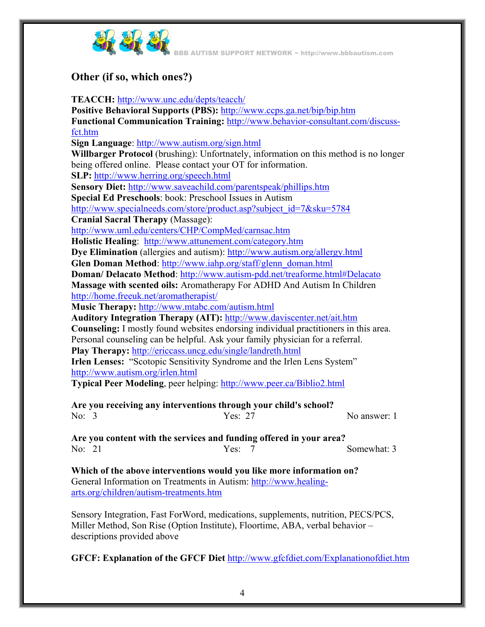

BBB AUTISM SUPPORT NETWORK ~ http://www.bbbautism.com

## **Other (if so, which ones?)**

## **TEACCH:** http://www.unc.edu/depts/teacch/

**Positive Behavioral Supports (PBS):** http://www.ccps.ga.net/bip/bip.htm **Functional Communication Training:** http://www.behavior-consultant.com/discussfct.htm **Sign Language**: http://www.autism.org/sign.html **Willbarger Protocol** (brushing): Unfortnately, information on this method is no longer being offered online. Please contact your OT for information. **SLP:** http://www.herring.org/speech.html **Sensory Diet:** http://www.saveachild.com/parentspeak/phillips.htm **Special Ed Preschools**: book: Preschool Issues in Autism http://www.specialneeds.com/store/product.asp?subject\_id=7&sku=5784 **Cranial Sacral Therapy** (Massage): http://www.uml.edu/centers/CHP/CompMed/carnsac.htm **Holistic Healing**: http://www.attunement.com/category.htm **Dye Elimination** (allergies and autism): http://www.autism.org/allergy.html **Glen Doman Method**: http://www.iahp.org/staff/glenn\_doman.html **Doman/ Delacato Method**: http://www.autism-pdd.net/treaforme.html#Delacato **Massage with scented oils:** Aromatherapy For ADHD And Autism In Children http://home.freeuk.net/aromatherapist/ **Music Therapy:** http://www.mtabc.com/autism.html **Auditory Integration Therapy (AIT):** http://www.daviscenter.net/ait.htm **Counseling:** I mostly found websites endorsing individual practitioners in this area. Personal counseling can be helpful. Ask your family physician for a referral. **Play Therapy:** http://ericcass.uncg.edu/single/landreth.html **Irlen Lenses:** "Scotopic Sensitivity Syndrome and the Irlen Lens System" http://www.autism.org/irlen.html **Typical Peer Modeling**, peer helping: http://www.peer.ca/Biblio2.html

**Are you receiving any interventions through your child's school?**  No: 3 Yes: 27 No answer: 1

**Are you content with the services and funding offered in your area?**  No: 21 Yes: 7 Somewhat: 3

**Which of the above interventions would you like more information on?**  General Information on Treatments in Autism: http://www.healingarts.org/children/autism-treatments.htm

Sensory Integration, Fast ForWord, medications, supplements, nutrition, PECS/PCS, Miller Method, Son Rise (Option Institute), Floortime, ABA, verbal behavior – descriptions provided above

**GFCF: Explanation of the GFCF Diet** http://www.gfcfdiet.com/Explanationofdiet.htm